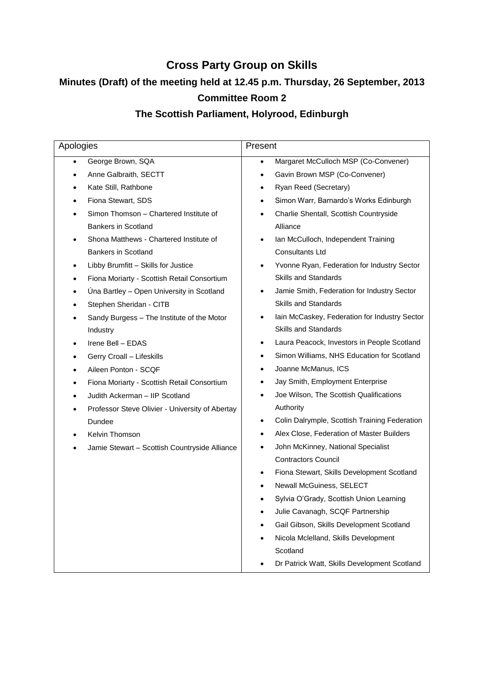# **Cross Party Group on Skills**

# **Minutes (Draft) of the meeting held at 12.45 p.m. Thursday, 26 September, 2013**

# **Committee Room 2**

# **The Scottish Parliament, Holyrood, Edinburgh**

| Apologies                                            | Present                                                    |
|------------------------------------------------------|------------------------------------------------------------|
| George Brown, SQA                                    | Margaret McCulloch MSP (Co-Convener)<br>$\bullet$          |
| Anne Galbraith, SECTT                                | Gavin Brown MSP (Co-Convener)<br>$\bullet$                 |
| Kate Still, Rathbone                                 | Ryan Reed (Secretary)<br>$\bullet$                         |
| Fiona Stewart, SDS                                   | Simon Warr, Barnardo's Works Edinburgh<br>$\bullet$        |
| Simon Thomson - Chartered Institute of               | Charlie Shentall, Scottish Countryside<br>$\bullet$        |
| <b>Bankers in Scotland</b>                           | Alliance                                                   |
| Shona Matthews - Chartered Institute of<br>٠         | Ian McCulloch, Independent Training<br>$\bullet$           |
| <b>Bankers in Scotland</b>                           | <b>Consultants Ltd</b>                                     |
| Libby Brumfitt - Skills for Justice<br>٠             | Yvonne Ryan, Federation for Industry Sector<br>$\bullet$   |
| Fiona Moriarty - Scottish Retail Consortium          | <b>Skills and Standards</b>                                |
| Úna Bartley - Open University in Scotland<br>٠       | Jamie Smith, Federation for Industry Sector<br>$\bullet$   |
| Stephen Sheridan - CITB                              | <b>Skills and Standards</b>                                |
| Sandy Burgess - The Institute of the Motor           | Iain McCaskey, Federation for Industry Sector<br>$\bullet$ |
| Industry                                             | <b>Skills and Standards</b>                                |
| Irene Bell - EDAS                                    | Laura Peacock, Investors in People Scotland<br>$\bullet$   |
| Gerry Croall - Lifeskills                            | Simon Williams, NHS Education for Scotland<br>$\bullet$    |
| Aileen Ponton - SCQF                                 | Joanne McManus, ICS<br>$\bullet$                           |
| Fiona Moriarty - Scottish Retail Consortium          | Jay Smith, Employment Enterprise<br>$\bullet$              |
| Judith Ackerman - IIP Scotland                       | Joe Wilson, The Scottish Qualifications<br>$\bullet$       |
| Professor Steve Olivier - University of Abertay<br>٠ | Authority                                                  |
| Dundee                                               | Colin Dalrymple, Scottish Training Federation<br>$\bullet$ |
| Kelvin Thomson                                       | Alex Close, Federation of Master Builders<br>$\bullet$     |
| Jamie Stewart - Scottish Countryside Alliance        | John McKinney, National Specialist<br>$\bullet$            |
|                                                      | <b>Contractors Council</b>                                 |
|                                                      | Fiona Stewart, Skills Development Scotland<br>$\bullet$    |
|                                                      | Newall McGuiness, SELECT                                   |
|                                                      | Sylvia O'Grady, Scottish Union Learning                    |
|                                                      | Julie Cavanagh, SCQF Partnership                           |
|                                                      | Gail Gibson, Skills Development Scotland                   |
|                                                      | Nicola Mclelland, Skills Development                       |
|                                                      | Scotland                                                   |
|                                                      | Dr Patrick Watt, Skills Development Scotland               |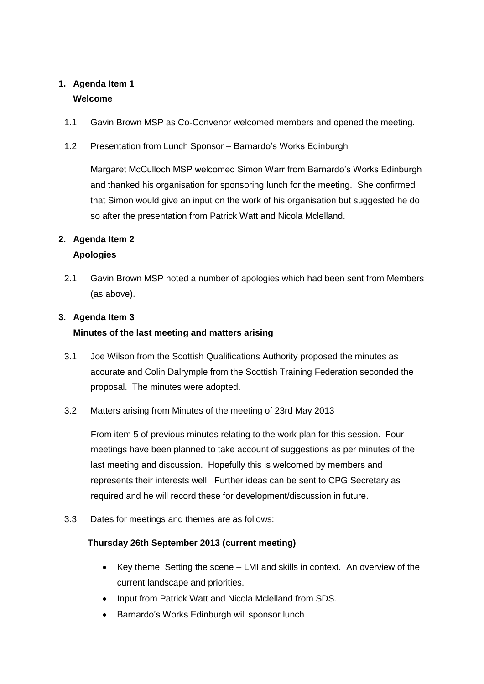## **1. Agenda Item 1 Welcome**

- 1.1. Gavin Brown MSP as Co-Convenor welcomed members and opened the meeting.
- 1.2. Presentation from Lunch Sponsor Barnardo's Works Edinburgh

Margaret McCulloch MSP welcomed Simon Warr from Barnardo's Works Edinburgh and thanked his organisation for sponsoring lunch for the meeting. She confirmed that Simon would give an input on the work of his organisation but suggested he do so after the presentation from Patrick Watt and Nicola Mclelland.

### **2. Agenda Item 2**

### **Apologies**

2.1. Gavin Brown MSP noted a number of apologies which had been sent from Members (as above).

### **3. Agenda Item 3**

### **Minutes of the last meeting and matters arising**

- 3.1. Joe Wilson from the Scottish Qualifications Authority proposed the minutes as accurate and Colin Dalrymple from the Scottish Training Federation seconded the proposal. The minutes were adopted.
- 3.2. Matters arising from Minutes of the meeting of 23rd May 2013

From item 5 of previous minutes relating to the work plan for this session. Four meetings have been planned to take account of suggestions as per minutes of the last meeting and discussion. Hopefully this is welcomed by members and represents their interests well. Further ideas can be sent to CPG Secretary as required and he will record these for development/discussion in future.

3.3. Dates for meetings and themes are as follows:

### **Thursday 26th September 2013 (current meeting)**

- Key theme: Setting the scene LMI and skills in context. An overview of the current landscape and priorities.
- Input from Patrick Watt and Nicola Mclelland from SDS.
- Barnardo's Works Edinburgh will sponsor lunch.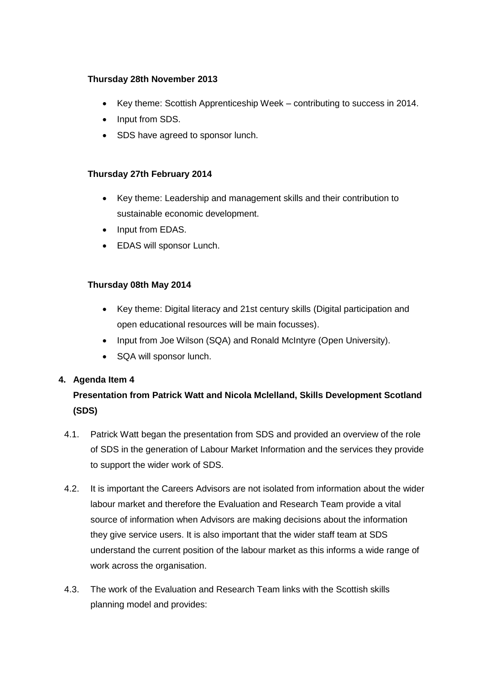#### **Thursday 28th November 2013**

- Key theme: Scottish Apprenticeship Week contributing to success in 2014.
- Input from SDS.
- SDS have agreed to sponsor lunch.

#### **Thursday 27th February 2014**

- Key theme: Leadership and management skills and their contribution to sustainable economic development.
- Input from EDAS.
- EDAS will sponsor Lunch.

#### **Thursday 08th May 2014**

- Key theme: Digital literacy and 21st century skills (Digital participation and open educational resources will be main focusses).
- Input from Joe Wilson (SQA) and Ronald McIntyre (Open University).
- SQA will sponsor lunch.

#### **4. Agenda Item 4**

# **Presentation from Patrick Watt and Nicola Mclelland, Skills Development Scotland (SDS)**

- 4.1. Patrick Watt began the presentation from SDS and provided an overview of the role of SDS in the generation of Labour Market Information and the services they provide to support the wider work of SDS.
- 4.2. It is important the Careers Advisors are not isolated from information about the wider labour market and therefore the Evaluation and Research Team provide a vital source of information when Advisors are making decisions about the information they give service users. It is also important that the wider staff team at SDS understand the current position of the labour market as this informs a wide range of work across the organisation.
- 4.3. The work of the Evaluation and Research Team links with the Scottish skills planning model and provides: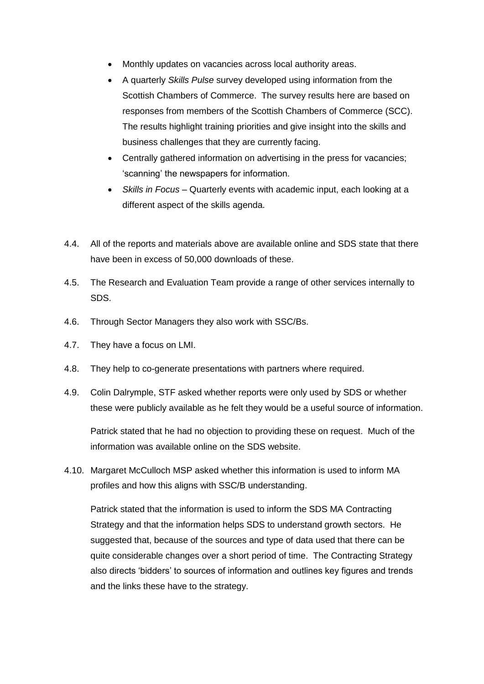- Monthly updates on vacancies across local authority areas.
- A quarterly *Skills Pulse* survey developed using information from the Scottish Chambers of Commerce. The survey results here are based on responses from members of the Scottish Chambers of Commerce (SCC). The results highlight training priorities and give insight into the skills and business challenges that they are currently facing.
- Centrally gathered information on advertising in the press for vacancies; 'scanning' the newspapers for information.
- *Skills in Focus* Quarterly events with academic input, each looking at a different aspect of the skills agenda.
- 4.4. All of the reports and materials above are available online and SDS state that there have been in excess of 50,000 downloads of these.
- 4.5. The Research and Evaluation Team provide a range of other services internally to SDS.
- 4.6. Through Sector Managers they also work with SSC/Bs.
- 4.7. They have a focus on LMI.
- 4.8. They help to co-generate presentations with partners where required.
- 4.9. Colin Dalrymple, STF asked whether reports were only used by SDS or whether these were publicly available as he felt they would be a useful source of information.

Patrick stated that he had no objection to providing these on request. Much of the information was available online on the SDS website.

4.10. Margaret McCulloch MSP asked whether this information is used to inform MA profiles and how this aligns with SSC/B understanding.

Patrick stated that the information is used to inform the SDS MA Contracting Strategy and that the information helps SDS to understand growth sectors. He suggested that, because of the sources and type of data used that there can be quite considerable changes over a short period of time. The Contracting Strategy also directs 'bidders' to sources of information and outlines key figures and trends and the links these have to the strategy.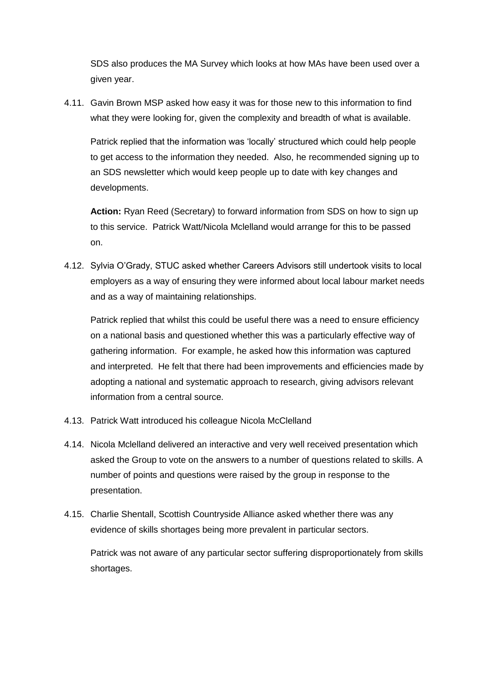SDS also produces the MA Survey which looks at how MAs have been used over a given year.

4.11. Gavin Brown MSP asked how easy it was for those new to this information to find what they were looking for, given the complexity and breadth of what is available.

Patrick replied that the information was 'locally' structured which could help people to get access to the information they needed. Also, he recommended signing up to an SDS newsletter which would keep people up to date with key changes and developments.

**Action:** Ryan Reed (Secretary) to forward information from SDS on how to sign up to this service. Patrick Watt/Nicola Mclelland would arrange for this to be passed on.

4.12. Sylvia O'Grady, STUC asked whether Careers Advisors still undertook visits to local employers as a way of ensuring they were informed about local labour market needs and as a way of maintaining relationships.

Patrick replied that whilst this could be useful there was a need to ensure efficiency on a national basis and questioned whether this was a particularly effective way of gathering information. For example, he asked how this information was captured and interpreted. He felt that there had been improvements and efficiencies made by adopting a national and systematic approach to research, giving advisors relevant information from a central source.

- 4.13. Patrick Watt introduced his colleague Nicola McClelland
- 4.14. Nicola Mclelland delivered an interactive and very well received presentation which asked the Group to vote on the answers to a number of questions related to skills. A number of points and questions were raised by the group in response to the presentation.
- 4.15. Charlie Shentall, Scottish Countryside Alliance asked whether there was any evidence of skills shortages being more prevalent in particular sectors.

Patrick was not aware of any particular sector suffering disproportionately from skills shortages.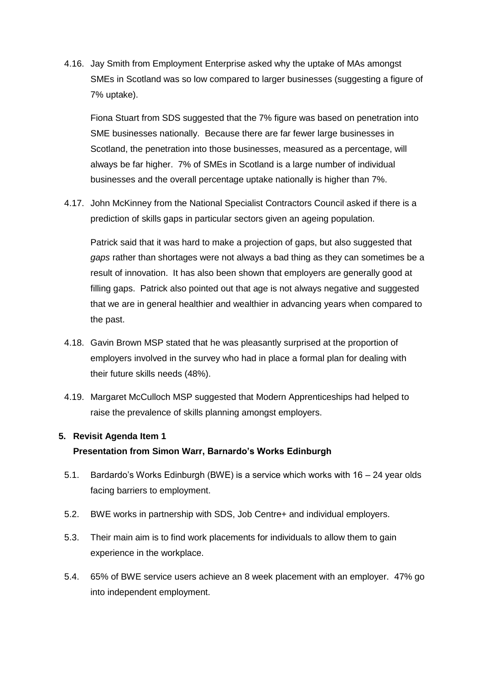4.16. Jay Smith from Employment Enterprise asked why the uptake of MAs amongst SMEs in Scotland was so low compared to larger businesses (suggesting a figure of 7% uptake).

Fiona Stuart from SDS suggested that the 7% figure was based on penetration into SME businesses nationally. Because there are far fewer large businesses in Scotland, the penetration into those businesses, measured as a percentage, will always be far higher. 7% of SMEs in Scotland is a large number of individual businesses and the overall percentage uptake nationally is higher than 7%.

4.17. John McKinney from the National Specialist Contractors Council asked if there is a prediction of skills gaps in particular sectors given an ageing population.

Patrick said that it was hard to make a projection of gaps, but also suggested that *gaps* rather than shortages were not always a bad thing as they can sometimes be a result of innovation. It has also been shown that employers are generally good at filling gaps. Patrick also pointed out that age is not always negative and suggested that we are in general healthier and wealthier in advancing years when compared to the past.

- 4.18. Gavin Brown MSP stated that he was pleasantly surprised at the proportion of employers involved in the survey who had in place a formal plan for dealing with their future skills needs (48%).
- 4.19. Margaret McCulloch MSP suggested that Modern Apprenticeships had helped to raise the prevalence of skills planning amongst employers.

#### **5. Revisit Agenda Item 1**

#### **Presentation from Simon Warr, Barnardo's Works Edinburgh**

- 5.1. Bardardo's Works Edinburgh (BWE) is a service which works with 16 24 year olds facing barriers to employment.
- 5.2. BWE works in partnership with SDS, Job Centre+ and individual employers.
- 5.3. Their main aim is to find work placements for individuals to allow them to gain experience in the workplace.
- 5.4. 65% of BWE service users achieve an 8 week placement with an employer. 47% go into independent employment.